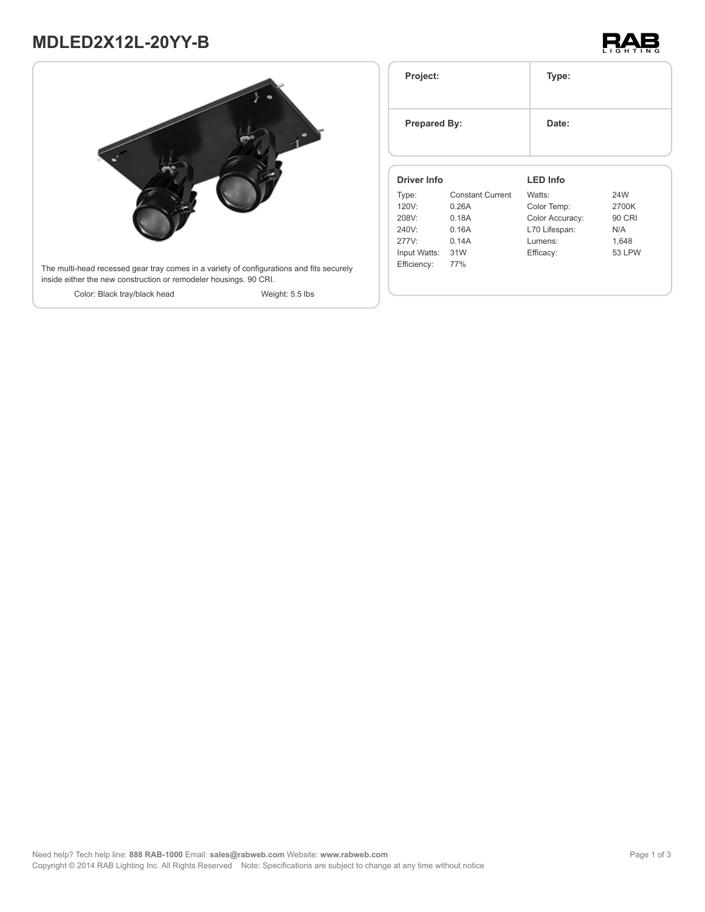# **MDLED2X12L-20YY-B**





| Project:<br><b>Prepared By:</b> |                         | Type:           |               |
|---------------------------------|-------------------------|-----------------|---------------|
|                                 |                         | Date:           |               |
| <b>Driver Info</b>              |                         | <b>LED Info</b> |               |
| Type:                           | <b>Constant Current</b> | Watts:          | 24W           |
| 120V:                           | 0.26A                   | Color Temp:     | 2700K         |
| 208V:                           | 0.18A                   | Color Accuracy: | <b>90 CRI</b> |
| 240V:                           | 0.16A                   | L70 Lifespan:   | N/A           |
| 277V:                           | 0.14A                   | Lumens:         | 1,648         |
|                                 |                         | Efficacy:       | <b>53 LPW</b> |
| Input Watts: 31W                |                         |                 |               |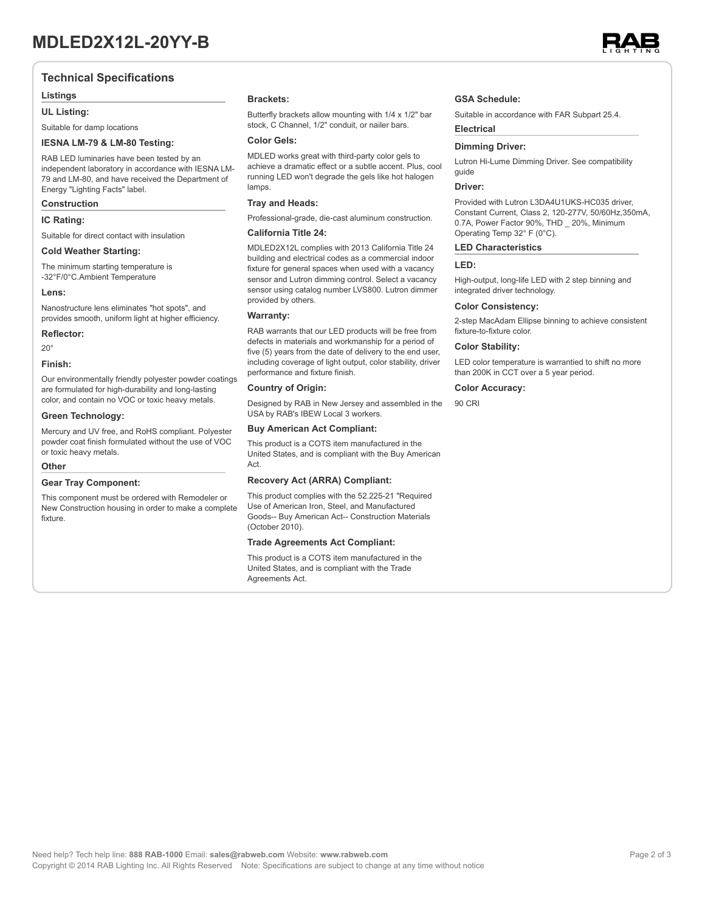### **Technical Specifications**

#### **Listings**

#### **UL Listing:**

Suitable for damp locations

#### **IESNA LM-79 & LM-80 Testing:**

RAB LED luminaries have been tested by an independent laboratory in accordance with IESNA LM-79 and LM-80, and have received the Department of Energy "Lighting Facts" label.

#### **Construction**

#### **IC Rating:**

Suitable for direct contact with insulation

#### **Cold Weather Starting:**

The minimum starting temperature is -32°F/0°C.Ambient Temperature

#### **Lens:**

Nanostructure lens eliminates "hot spots", and provides smooth, uniform light at higher efficiency.

#### **Reflector:**

 $20^\circ$ 

#### **Finish:**

Our environmentally friendly polyester powder coatings are formulated for high-durability and long-lasting color, and contain no VOC or toxic heavy metals.

#### **Green Technology:**

Mercury and UV free, and RoHS compliant. Polyester powder coat finish formulated without the use of VOC or toxic heavy metals.

#### **Other**

#### **Gear Tray Component:**

This component must be ordered with Remodeler or New Construction housing in order to make a complete fixture.

#### **Brackets:**

Butterfly brackets allow mounting with 1/4 x 1/2" bar stock, C Channel, 1/2" conduit, or nailer bars.

#### **Color Gels:**

MDLED works great with third-party color gels to achieve a dramatic effect or a subtle accent. Plus, cool running LED won't degrade the gels like hot halogen lamps

#### **Tray and Heads:**

Professional-grade, die-cast aluminum construction.

### **California Title 24:**

MDLED2X12L complies with 2013 California Title 24 building and electrical codes as a commercial indoor fixture for general spaces when used with a vacancy sensor and Lutron dimming control. Select a vacancy sensor using catalog number LVS800. Lutron dimmer provided by others.

#### **Warranty:**

RAB warrants that our LED products will be free from defects in materials and workmanship for a period of five (5) years from the date of delivery to the end user, including coverage of light output, color stability, driver performance and fixture finish.

#### **Country of Origin:**

Designed by RAB in New Jersey and assembled in the USA by RAB's IBEW Local 3 workers.

#### **Buy American Act Compliant:**

This product is a COTS item manufactured in the United States, and is compliant with the Buy American Act.

#### **Recovery Act (ARRA) Compliant:**

This product complies with the 52.225-21 "Required Use of American Iron, Steel, and Manufactured Goods-- Buy American Act-- Construction Materials (October 2010).

#### **Trade Agreements Act Compliant:**

This product is a COTS item manufactured in the United States, and is compliant with the Trade Agreements Act.

#### **GSA Schedule:**

Suitable in accordance with FAR Subpart 25.4.

## **Dimming Driver:**

Lutron Hi-Lume Dimming Driver. See compatibility guide

#### **Driver:**

**Electrical**

Provided with Lutron L3DA4U1UKS-HC035 driver, Constant Current, Class 2, 120-277V, 50/60Hz,350mA, 0.7A, Power Factor 90%, THD \_ 20%, Minimum Operating Temp 32° F (0°C).

#### **LED Characteristics**

### **LED:**

High-output, long-life LED with 2 step binning and integrated driver technology.

#### **Color Consistency:**

2-step MacAdam Ellipse binning to achieve consistent fixture-to-fixture color.

#### **Color Stability:**

LED color temperature is warrantied to shift no more than 200K in CCT over a 5 year period.

#### **Color Accuracy:**

90 CRI